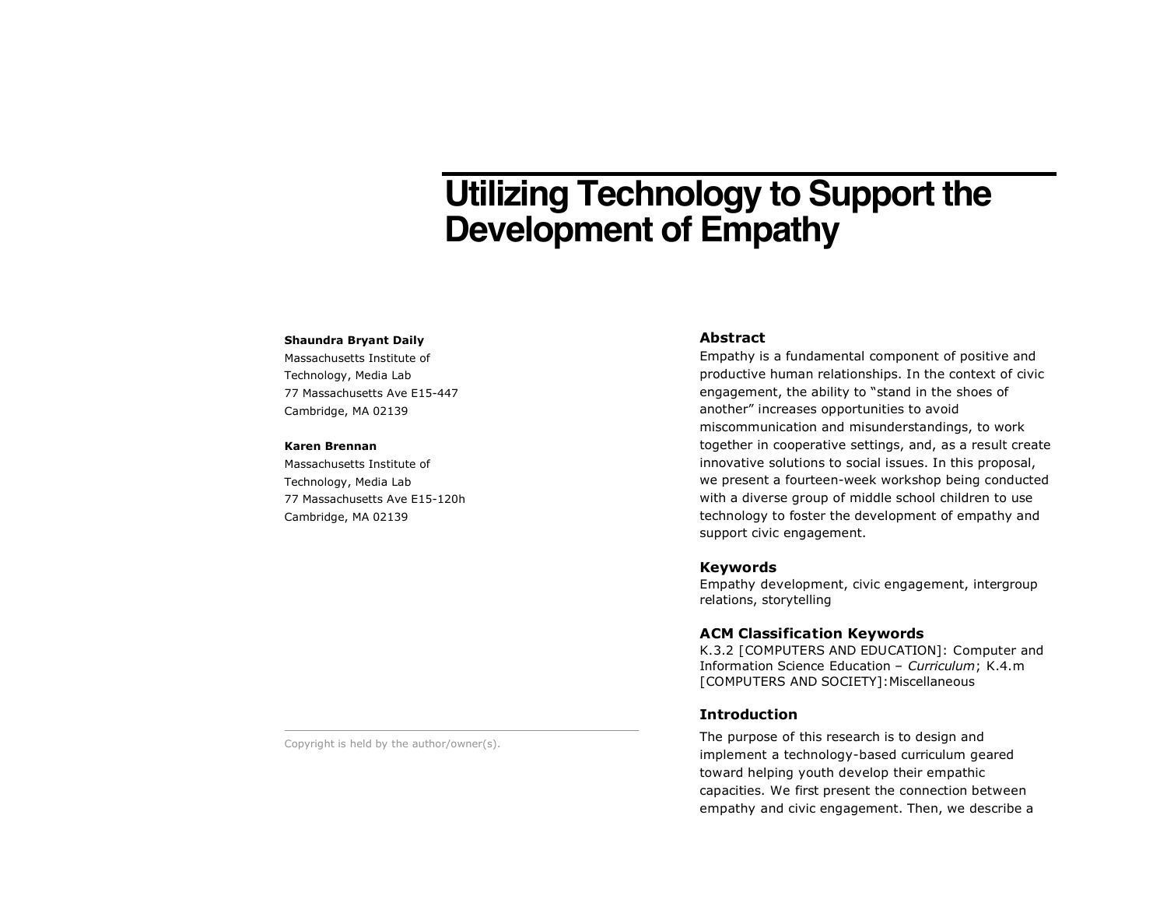# **Utilizing Technology to Support the Development of Empathy**

#### **Shaundra Bryant Daily**

Massachusetts Institute of Technology, Media Lab 77 Massachusetts Ave E15-447 Cambridge, MA 02139

#### **Karen Brennan**

Massachusetts Institute of Technology, Media Lab 77 Massachusetts Ave E15-120h Cambridge, MA 02139

## **Abstract**

Empathy is a fundamental component of positive and productive human relationships. In the context of civic engagement, the ability to "stand in the shoes of another" increases opportunities to avoid miscommunication and misunderstandings, to work together in cooperative settings, and, as a result create innovative solutions to social issues. In this proposal, we present a fourteen-week workshop being conducted with a diverse group of middle school children to use technology to foster the development of empathy and support civic engagement.

# **Keywords**

Empathy development, civic engagement, intergroup relations, storytelling

# **ACM Classification Keywords**

K.3.2 [COMPUTERS AND EDUCATION]: Computer and Information Science Education – *Curriculum*; K.4.m [COMPUTERS AND SOCIETY]:Miscellaneous

# **Introduction**

The purpose of this research is to design and implement a technology-based curriculum geared toward helping youth develop their empathic capacities. We first present the connection between empathy and civic engagement. Then, we describe a

Copyright is held by the author/owner(s).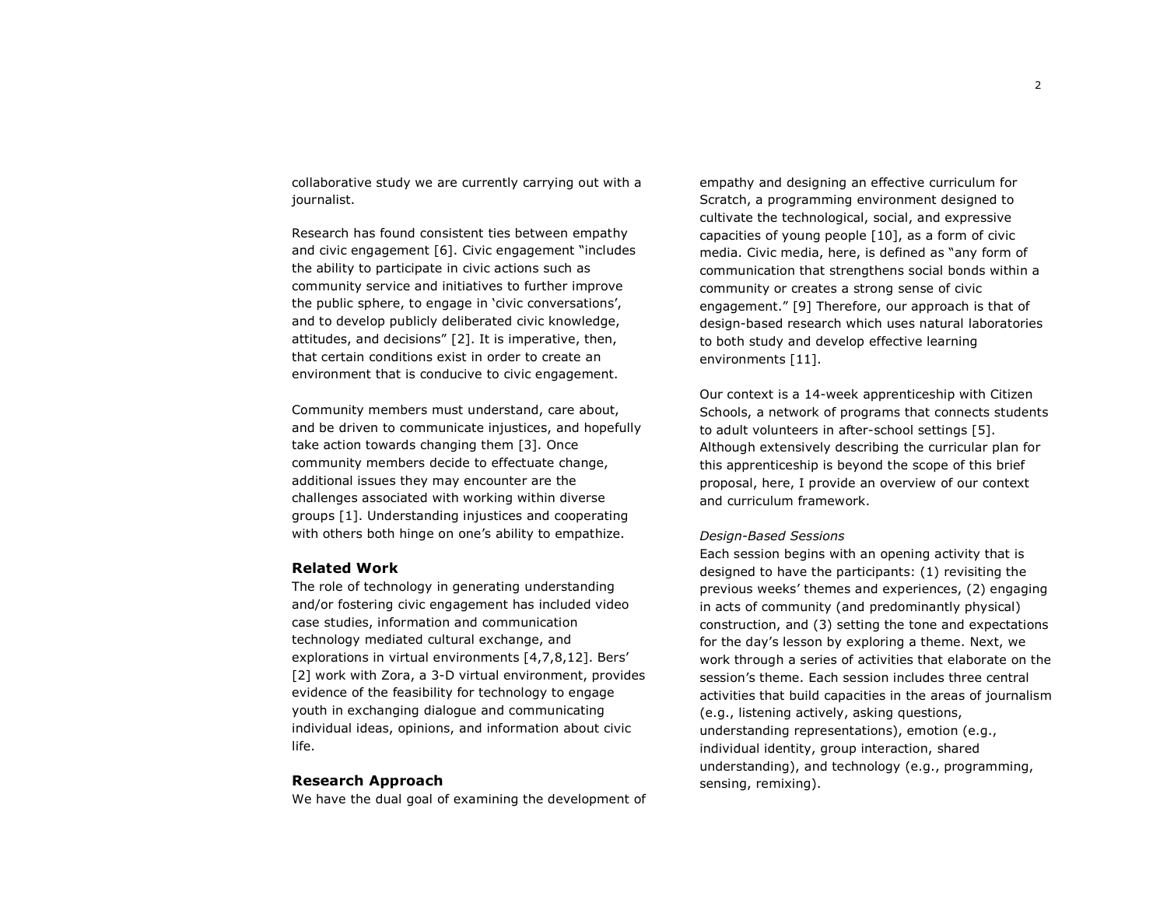collaborative study we are currently carrying out with a journalist.

Research has found consistent ties between empathy and civic engagement [6]. Civic engagement "includes the ability to participate in civic actions such as community service and initiatives to further improve the public sphere, to engage in 'civic conversations', and to develop publicly deliberated civic knowledge, attitudes, and decisions" [2]. It is imperative, then, that certain conditions exist in order to create an environment that is conducive to civic engagement.

Community members must understand, care about, and be driven to communicate injustices, and hopefully take action towards changing them [3]. Once community members decide to effectuate change, additional issues they may encounter are the challenges associated with working within diverse groups [1]. Understanding injustices and cooperating with others both hinge on one's ability to empathize.

# **Related Work**

The role of technology in generating understanding and/or fostering civic engagement has included video case studies, information and communication technology mediated cultural exchange, and explorations in virtual environments [4,7,8,12]. Bers' [2] work with Zora, a 3-D virtual environment, provides evidence of the feasibility for technology to engage youth in exchanging dialogue and communicating individual ideas, opinions, and information about civic life.

#### **Research Approach**

We have the dual goal of examining the development of

empathy and designing an effective curriculum for Scratch, a programming environment designed to cultivate the technological, social, and expressive capacities of young people [10], as a form of civic media. Civic media, here, is defined as "any form of communication that strengthens social bonds within a community or creates a strong sense of civic engagement." [9] Therefore, our approach is that of design-based research which uses natural laboratories to both study and develop effective learning environments [11].

Our context is a 14-week apprenticeship with Citizen Schools, a network of programs that connects students to adult volunteers in after-school settings [5]. Although extensively describing the curricular plan for this apprenticeship is beyond the scope of this brief proposal, here, I provide an overview of our context and curriculum framework.

#### *Design-Based Sessions*

Each session begins with an opening activity that is designed to have the participants: (1) revisiting the previous weeks' themes and experiences, (2) engaging in acts of community (and predominantly physical) construction, and (3) setting the tone and expectations for the day's lesson by exploring a theme. Next, we work through a series of activities that elaborate on the session's theme. Each session includes three central activities that build capacities in the areas of journalism (e.g., listening actively, asking questions, understanding representations), emotion (e.g., individual identity, group interaction, shared understanding), and technology (e.g., programming, sensing, remixing).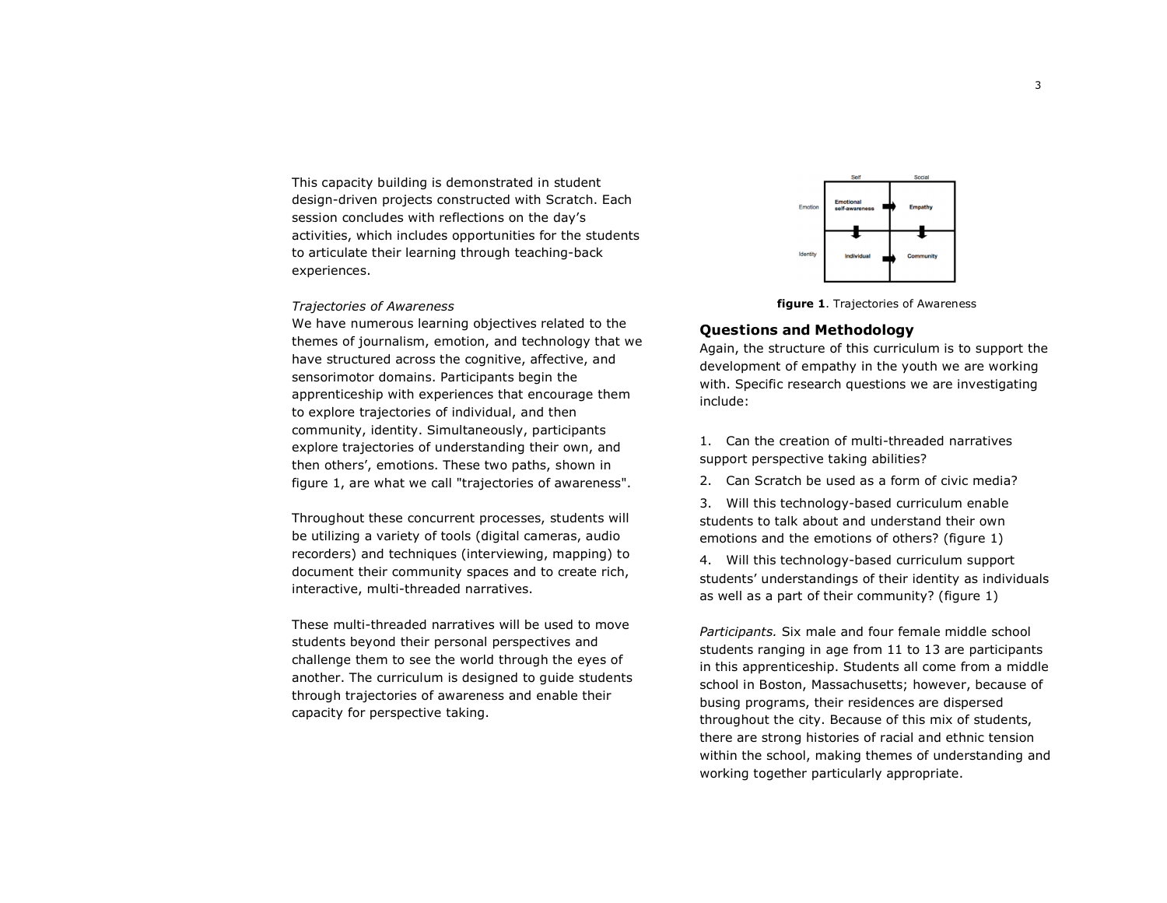This capacity building is demonstrated in student design-driven projects constructed with Scratch. Each session concludes with reflections on the day's activities, which includes opportunities for the students to articulate their learning through teaching-back experiences.

#### *Trajectories of Awareness*

We have numerous learning objectives related to the themes of journalism, emotion, and technology that we have structured across the cognitive, affective, and sensorimotor domains. Participants begin the apprenticeship with experiences that encourage them to explore trajectories of individual, and then community, identity. Simultaneously, participants explore trajectories of understanding their own, and then others', emotions. These two paths, shown in figure 1, are what we call "trajectories of awareness".

Throughout these concurrent processes, students will be utilizing a variety of tools (digital cameras, audio recorders) and techniques (interviewing, mapping) to document their community spaces and to create rich, interactive, multi-threaded narratives.

These multi-threaded narratives will be used to move students beyond their personal perspectives and challenge them to see the world through the eyes of another. The curriculum is designed to guide students through trajectories of awareness and enable their capacity for perspective taking.



**figure 1**. Trajectories of Awareness

## **Questions and Methodology**

Again, the structure of this curriculum is to support the development of empathy in the youth we are working with. Specific research questions we are investigating include:

1. Can the creation of multi-threaded narratives support perspective taking abilities?

2. Can Scratch be used as a form of civic media?

3. Will this technology-based curriculum enable students to talk about and understand their own emotions and the emotions of others? (figure 1)

4. Will this technology-based curriculum support students' understandings of their identity as individuals as well as a part of their community? (figure 1)

*Participants.* Six male and four female middle school students ranging in age from 11 to 13 are participants in this apprenticeship. Students all come from a middle school in Boston, Massachusetts; however, because of busing programs, their residences are dispersed throughout the city. Because of this mix of students, there are strong histories of racial and ethnic tension within the school, making themes of understanding and working together particularly appropriate.